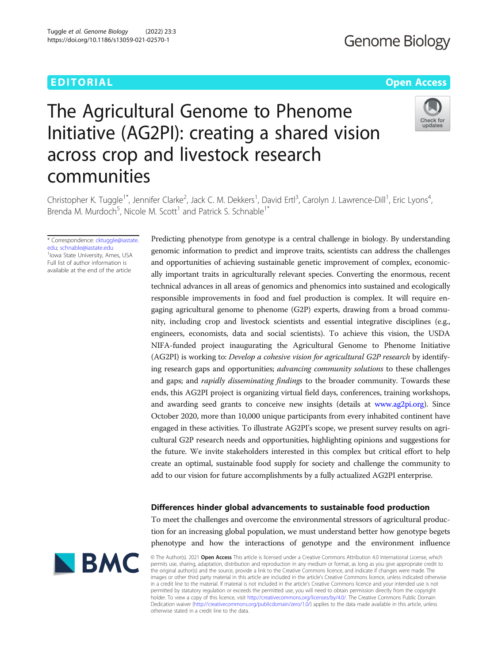Tuggle et al. Genome Biology (2022) 23:3 https://doi.org/10.1186/s13059-021-02570-1

## EDITORIAL AND Open Access to the contract of the contract of the contract of the contract of the contract of the contract of the contract of the contract of the contract of the contract of the contract of the contract of t

# The Agricultural Genome to Phenome Initiative (AG2PI): creating a shared vision across crop and livestock research communities



Christopher K. Tuggle<sup>1\*</sup>, Jennifer Clarke<sup>2</sup>, Jack C. M. Dekkers<sup>1</sup>, David Ertl<sup>3</sup>, Carolyn J. Lawrence-Dill<sup>1</sup>, Eric Lyons<sup>4</sup> , Brenda M. Murdoch<sup>5</sup>, Nicole M. Scott<sup>1</sup> and Patrick S. Schnable<sup>1\*</sup>

\* Correspondence: [cktuggle@iastate.](mailto:cktuggle@iastate.edu) [edu](mailto:cktuggle@iastate.edu); [schnable@iastate.edu](mailto:schnable@iastate.edu) <sup>1</sup> <sup>1</sup>lowa State University, Ames, USA Full list of author information is available at the end of the article

Predicting phenotype from genotype is a central challenge in biology. By understanding genomic information to predict and improve traits, scientists can address the challenges and opportunities of achieving sustainable genetic improvement of complex, economically important traits in agriculturally relevant species. Converting the enormous, recent technical advances in all areas of genomics and phenomics into sustained and ecologically responsible improvements in food and fuel production is complex. It will require engaging agricultural genome to phenome (G2P) experts, drawing from a broad community, including crop and livestock scientists and essential integrative disciplines (e.g., engineers, economists, data and social scientists). To achieve this vision, the USDA NIFA-funded project inaugurating the Agricultural Genome to Phenome Initiative (AG2PI) is working to: Develop a cohesive vision for agricultural G2P research by identifying research gaps and opportunities; *advancing community solutions* to these challenges and gaps; and *rapidly disseminating findings* to the broader community. Towards these ends, this AG2PI project is organizing virtual field days, conferences, training workshops, and awarding seed grants to conceive new insights (details at [www.ag2pi.org](http://www.ag2pi.org)). Since October 2020, more than 10,000 unique participants from every inhabited continent have engaged in these activities. To illustrate AG2PI's scope, we present survey results on agricultural G2P research needs and opportunities, highlighting opinions and suggestions for the future. We invite stakeholders interested in this complex but critical effort to help create an optimal, sustainable food supply for society and challenge the community to add to our vision for future accomplishments by a fully actualized AG2PI enterprise.

## Differences hinder global advancements to sustainable food production

To meet the challenges and overcome the environmental stressors of agricultural production for an increasing global population, we must understand better how genotype begets phenotype and how the interactions of genotype and the environment influence



© The Author(s). 2021 Open Access This article is licensed under a Creative Commons Attribution 4.0 International License, which permits use, sharing, adaptation, distribution and reproduction in any medium or format, as long as you give appropriate credit to the original author(s) and the source, provide a link to the Creative Commons licence, and indicate if changes were made. The images or other third party material in this article are included in the article's Creative Commons licence, unless indicated otherwise in a credit line to the material. If material is not included in the article's Creative Commons licence and your intended use is not permitted by statutory regulation or exceeds the permitted use, you will need to obtain permission directly from the copyright<br>holder. To view a copy of this licence, visit [http://creativecommons.org/licenses/by/4.0/.](http://creativecommons.org/licenses/by/4.0/) The Dedication waiver [\(http://creativecommons.org/publicdomain/zero/1.0/](http://creativecommons.org/publicdomain/zero/1.0/)) applies to the data made available in this article, unless otherwise stated in a credit line to the data.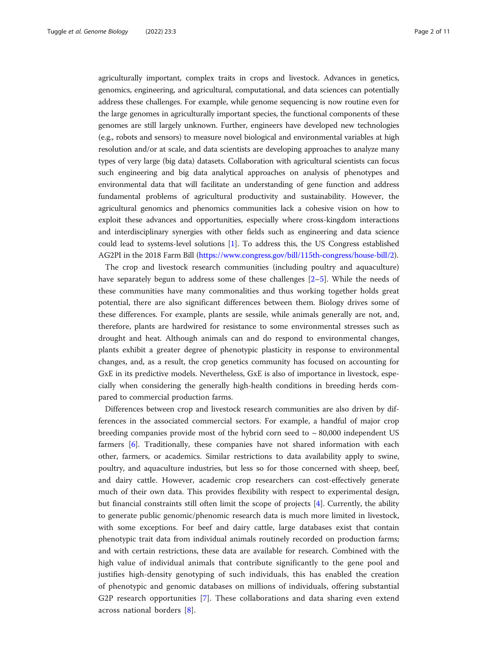agriculturally important, complex traits in crops and livestock. Advances in genetics, genomics, engineering, and agricultural, computational, and data sciences can potentially address these challenges. For example, while genome sequencing is now routine even for the large genomes in agriculturally important species, the functional components of these genomes are still largely unknown. Further, engineers have developed new technologies (e.g., robots and sensors) to measure novel biological and environmental variables at high resolution and/or at scale, and data scientists are developing approaches to analyze many types of very large (big data) datasets. Collaboration with agricultural scientists can focus such engineering and big data analytical approaches on analysis of phenotypes and environmental data that will facilitate an understanding of gene function and address fundamental problems of agricultural productivity and sustainability. However, the agricultural genomics and phenomics communities lack a cohesive vision on how to exploit these advances and opportunities, especially where cross-kingdom interactions and interdisciplinary synergies with other fields such as engineering and data science could lead to systems-level solutions [\[1\]](#page-9-0). To address this, the US Congress established AG2PI in the 2018 Farm Bill ([https://www.congress.gov/bill/115th-congress/house-bill/2\)](https://www.congress.gov/bill/115th-congress/house-bill/2).

The crop and livestock research communities (including poultry and aquaculture) have separately begun to address some of these challenges [[2](#page-9-0)–[5\]](#page-10-0). While the needs of these communities have many commonalities and thus working together holds great potential, there are also significant differences between them. Biology drives some of these differences. For example, plants are sessile, while animals generally are not, and, therefore, plants are hardwired for resistance to some environmental stresses such as drought and heat. Although animals can and do respond to environmental changes, plants exhibit a greater degree of phenotypic plasticity in response to environmental changes, and, as a result, the crop genetics community has focused on accounting for GxE in its predictive models. Nevertheless, GxE is also of importance in livestock, especially when considering the generally high-health conditions in breeding herds compared to commercial production farms.

Differences between crop and livestock research communities are also driven by differences in the associated commercial sectors. For example, a handful of major crop breeding companies provide most of the hybrid corn seed to  $\sim$  80,000 independent US farmers [\[6\]](#page-10-0). Traditionally, these companies have not shared information with each other, farmers, or academics. Similar restrictions to data availability apply to swine, poultry, and aquaculture industries, but less so for those concerned with sheep, beef, and dairy cattle. However, academic crop researchers can cost-effectively generate much of their own data. This provides flexibility with respect to experimental design, but financial constraints still often limit the scope of projects [\[4](#page-9-0)]. Currently, the ability to generate public genomic/phenomic research data is much more limited in livestock, with some exceptions. For beef and dairy cattle, large databases exist that contain phenotypic trait data from individual animals routinely recorded on production farms; and with certain restrictions, these data are available for research. Combined with the high value of individual animals that contribute significantly to the gene pool and justifies high-density genotyping of such individuals, this has enabled the creation of phenotypic and genomic databases on millions of individuals, offering substantial G2P research opportunities [[7\]](#page-10-0). These collaborations and data sharing even extend across national borders [[8\]](#page-10-0).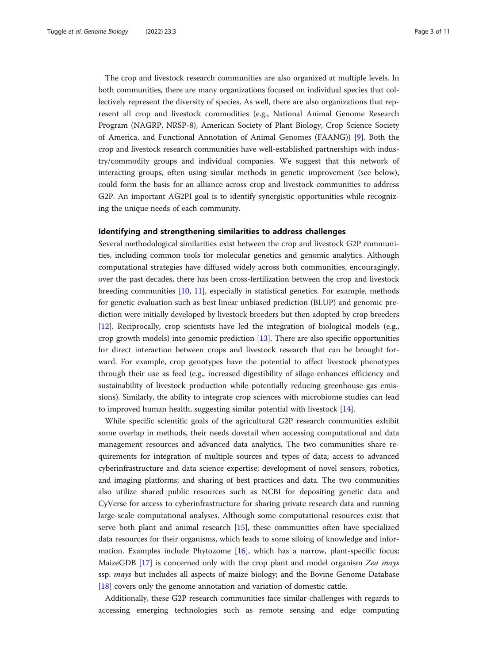The crop and livestock research communities are also organized at multiple levels. In both communities, there are many organizations focused on individual species that collectively represent the diversity of species. As well, there are also organizations that represent all crop and livestock commodities (e.g., National Animal Genome Research Program (NAGRP, NRSP-8), American Society of Plant Biology, Crop Science Society of America, and Functional Annotation of Animal Genomes (FAANG)) [[9\]](#page-10-0). Both the crop and livestock research communities have well-established partnerships with industry/commodity groups and individual companies. We suggest that this network of interacting groups, often using similar methods in genetic improvement (see below), could form the basis for an alliance across crop and livestock communities to address G2P. An important AG2PI goal is to identify synergistic opportunities while recognizing the unique needs of each community.

### Identifying and strengthening similarities to address challenges

Several methodological similarities exist between the crop and livestock G2P communities, including common tools for molecular genetics and genomic analytics. Although computational strategies have diffused widely across both communities, encouragingly, over the past decades, there has been cross-fertilization between the crop and livestock breeding communities [[10](#page-10-0), [11](#page-10-0)], especially in statistical genetics. For example, methods for genetic evaluation such as best linear unbiased prediction (BLUP) and genomic prediction were initially developed by livestock breeders but then adopted by crop breeders [[12\]](#page-10-0). Reciprocally, crop scientists have led the integration of biological models (e.g., crop growth models) into genomic prediction [[13](#page-10-0)]. There are also specific opportunities for direct interaction between crops and livestock research that can be brought forward. For example, crop genotypes have the potential to affect livestock phenotypes through their use as feed (e.g., increased digestibility of silage enhances efficiency and sustainability of livestock production while potentially reducing greenhouse gas emissions). Similarly, the ability to integrate crop sciences with microbiome studies can lead to improved human health, suggesting similar potential with livestock [[14\]](#page-10-0).

While specific scientific goals of the agricultural G2P research communities exhibit some overlap in methods, their needs dovetail when accessing computational and data management resources and advanced data analytics. The two communities share requirements for integration of multiple sources and types of data; access to advanced cyberinfrastructure and data science expertise; development of novel sensors, robotics, and imaging platforms; and sharing of best practices and data. The two communities also utilize shared public resources such as NCBI for depositing genetic data and CyVerse for access to cyberinfrastructure for sharing private research data and running large-scale computational analyses. Although some computational resources exist that serve both plant and animal research [\[15](#page-10-0)], these communities often have specialized data resources for their organisms, which leads to some siloing of knowledge and information. Examples include Phytozome [[16\]](#page-10-0), which has a narrow, plant-specific focus; MaizeGDB [[17](#page-10-0)] is concerned only with the crop plant and model organism Zea mays ssp. *mays* but includes all aspects of maize biology; and the Bovine Genome Database [[18\]](#page-10-0) covers only the genome annotation and variation of domestic cattle.

Additionally, these G2P research communities face similar challenges with regards to accessing emerging technologies such as remote sensing and edge computing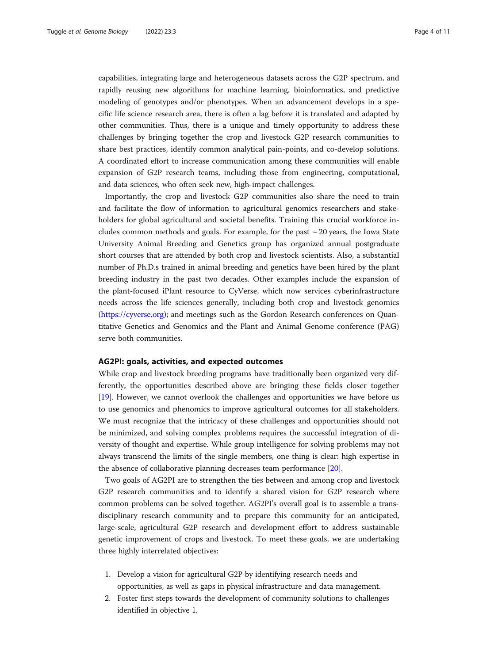capabilities, integrating large and heterogeneous datasets across the G2P spectrum, and rapidly reusing new algorithms for machine learning, bioinformatics, and predictive modeling of genotypes and/or phenotypes. When an advancement develops in a specific life science research area, there is often a lag before it is translated and adapted by other communities. Thus, there is a unique and timely opportunity to address these challenges by bringing together the crop and livestock G2P research communities to share best practices, identify common analytical pain-points, and co-develop solutions. A coordinated effort to increase communication among these communities will enable expansion of G2P research teams, including those from engineering, computational, and data sciences, who often seek new, high-impact challenges.

Importantly, the crop and livestock G2P communities also share the need to train and facilitate the flow of information to agricultural genomics researchers and stakeholders for global agricultural and societal benefits. Training this crucial workforce includes common methods and goals. For example, for the past  $\sim$  20 years, the Iowa State University Animal Breeding and Genetics group has organized annual postgraduate short courses that are attended by both crop and livestock scientists. Also, a substantial number of Ph.D.s trained in animal breeding and genetics have been hired by the plant breeding industry in the past two decades. Other examples include the expansion of the plant-focused iPlant resource to CyVerse, which now services cyberinfrastructure needs across the life sciences generally, including both crop and livestock genomics ([https://cyverse.org\)](https://cyverse.org); and meetings such as the Gordon Research conferences on Quantitative Genetics and Genomics and the Plant and Animal Genome conference (PAG) serve both communities.

#### AG2PI: goals, activities, and expected outcomes

While crop and livestock breeding programs have traditionally been organized very differently, the opportunities described above are bringing these fields closer together [[19\]](#page-10-0). However, we cannot overlook the challenges and opportunities we have before us to use genomics and phenomics to improve agricultural outcomes for all stakeholders. We must recognize that the intricacy of these challenges and opportunities should not be minimized, and solving complex problems requires the successful integration of diversity of thought and expertise. While group intelligence for solving problems may not always transcend the limits of the single members, one thing is clear: high expertise in the absence of collaborative planning decreases team performance [\[20\]](#page-10-0).

Two goals of AG2PI are to strengthen the ties between and among crop and livestock G2P research communities and to identify a shared vision for G2P research where common problems can be solved together. AG2PI's overall goal is to assemble a transdisciplinary research community and to prepare this community for an anticipated, large-scale, agricultural G2P research and development effort to address sustainable genetic improvement of crops and livestock. To meet these goals, we are undertaking three highly interrelated objectives:

- 1. Develop a vision for agricultural G2P by identifying research needs and opportunities, as well as gaps in physical infrastructure and data management.
- 2. Foster first steps towards the development of community solutions to challenges identified in objective 1.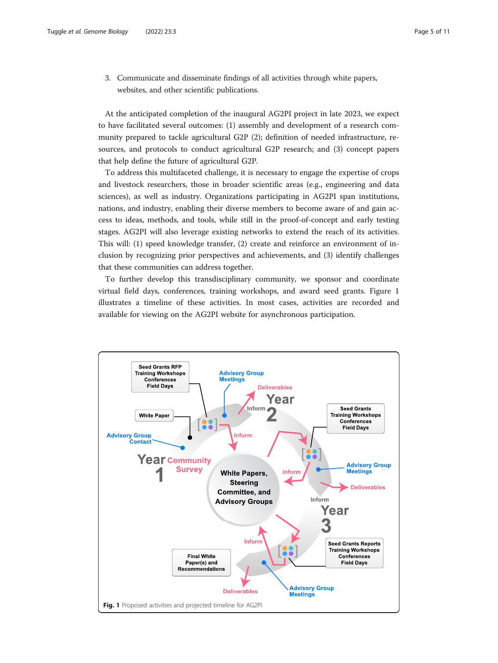3. Communicate and disseminate findings of all activities through white papers, websites, and other scientific publications.

At the anticipated completion of the inaugural AG2PI project in late 2023, we expect to have facilitated several outcomes: (1) assembly and development of a research community prepared to tackle agricultural G2P (2); definition of needed infrastructure, resources, and protocols to conduct agricultural G2P research; and (3) concept papers that help define the future of agricultural G2P.

To address this multifaceted challenge, it is necessary to engage the expertise of crops and livestock researchers, those in broader scientific areas (e.g., engineering and data sciences), as well as industry. Organizations participating in AG2PI span institutions, nations, and industry, enabling their diverse members to become aware of and gain access to ideas, methods, and tools, while still in the proof-of-concept and early testing stages. AG2PI will also leverage existing networks to extend the reach of its activities. This will: (1) speed knowledge transfer, (2) create and reinforce an environment of inclusion by recognizing prior perspectives and achievements, and (3) identify challenges that these communities can address together.

To further develop this transdisciplinary community, we sponsor and coordinate virtual field days, conferences, training workshops, and award seed grants. Figure 1 illustrates a timeline of these activities. In most cases, activities are recorded and available for viewing on the AG2PI website for asynchronous participation.

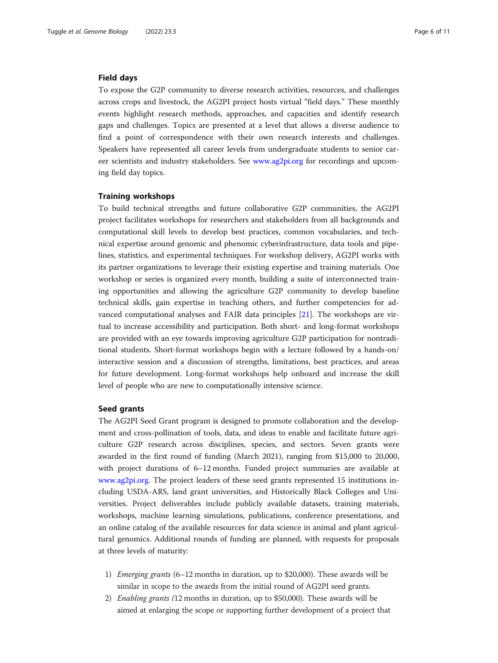#### Field days

To expose the G2P community to diverse research activities, resources, and challenges across crops and livestock, the AG2PI project hosts virtual "field days." These monthly events highlight research methods, approaches, and capacities and identify research gaps and challenges. Topics are presented at a level that allows a diverse audience to find a point of correspondence with their own research interests and challenges. Speakers have represented all career levels from undergraduate students to senior career scientists and industry stakeholders. See [www.ag2pi.org](http://www.ag2pi.org) for recordings and upcoming field day topics.

## Training workshops

To build technical strengths and future collaborative G2P communities, the AG2PI project facilitates workshops for researchers and stakeholders from all backgrounds and computational skill levels to develop best practices, common vocabularies, and technical expertise around genomic and phenomic cyberinfrastructure, data tools and pipelines, statistics, and experimental techniques. For workshop delivery, AG2PI works with its partner organizations to leverage their existing expertise and training materials. One workshop or series is organized every month, building a suite of interconnected training opportunities and allowing the agriculture G2P community to develop baseline technical skills, gain expertise in teaching others, and further competencies for advanced computational analyses and FAIR data principles [[21\]](#page-10-0). The workshops are virtual to increase accessibility and participation. Both short- and long-format workshops are provided with an eye towards improving agriculture G2P participation for nontraditional students. Short-format workshops begin with a lecture followed by a hands-on/ interactive session and a discussion of strengths, limitations, best practices, and areas for future development. Long-format workshops help onboard and increase the skill level of people who are new to computationally intensive science.

#### Seed grants

The AG2PI Seed Grant program is designed to promote collaboration and the development and cross-pollination of tools, data, and ideas to enable and facilitate future agriculture G2P research across disciplines, species, and sectors. Seven grants were awarded in the first round of funding (March 2021), ranging from \$15,000 to 20,000, with project durations of 6–12 months. Funded project summaries are available at [www.ag2pi.org.](http://www.ag2pi.org) The project leaders of these seed grants represented 15 institutions including USDA-ARS, land grant universities, and Historically Black Colleges and Universities. Project deliverables include publicly available datasets, training materials, workshops, machine learning simulations, publications, conference presentations, and an online catalog of the available resources for data science in animal and plant agricultural genomics. Additional rounds of funding are planned, with requests for proposals at three levels of maturity:

- 1) Emerging grants (6–12 months in duration, up to \$20,000). These awards will be similar in scope to the awards from the initial round of AG2PI seed grants.
- 2) Enabling grants (12 months in duration, up to \$50,000). These awards will be aimed at enlarging the scope or supporting further development of a project that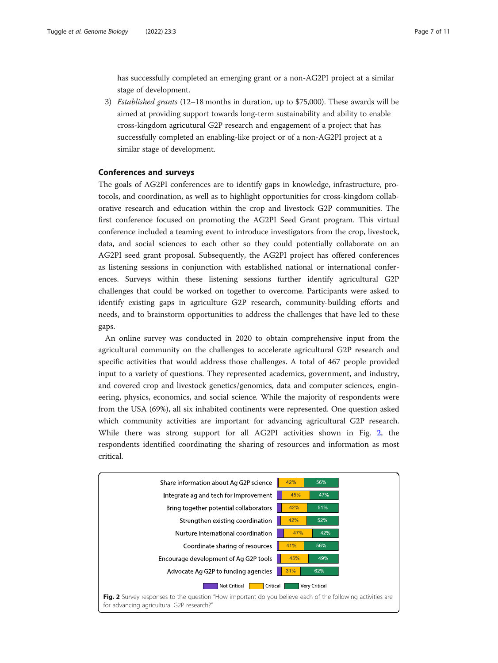has successfully completed an emerging grant or a non-AG2PI project at a similar stage of development.

3) Established grants (12–18 months in duration, up to \$75,000). These awards will be aimed at providing support towards long-term sustainability and ability to enable cross-kingdom agricutural G2P research and engagement of a project that has successfully completed an enabling-like project or of a non-AG2PI project at a similar stage of development.

## Conferences and surveys

The goals of AG2PI conferences are to identify gaps in knowledge, infrastructure, protocols, and coordination, as well as to highlight opportunities for cross-kingdom collaborative research and education within the crop and livestock G2P communities. The first conference focused on promoting the AG2PI Seed Grant program. This virtual conference included a teaming event to introduce investigators from the crop, livestock, data, and social sciences to each other so they could potentially collaborate on an AG2PI seed grant proposal. Subsequently, the AG2PI project has offered conferences as listening sessions in conjunction with established national or international conferences. Surveys within these listening sessions further identify agricultural G2P challenges that could be worked on together to overcome. Participants were asked to identify existing gaps in agriculture G2P research, community-building efforts and needs, and to brainstorm opportunities to address the challenges that have led to these gaps.

An online survey was conducted in 2020 to obtain comprehensive input from the agricultural community on the challenges to accelerate agricultural G2P research and specific activities that would address those challenges. A total of 467 people provided input to a variety of questions. They represented academics, government, and industry, and covered crop and livestock genetics/genomics, data and computer sciences, engineering, physics, economics, and social science. While the majority of respondents were from the USA (69%), all six inhabited continents were represented. One question asked which community activities are important for advancing agricultural G2P research. While there was strong support for all AG2PI activities shown in Fig. 2, the respondents identified coordinating the sharing of resources and information as most critical.

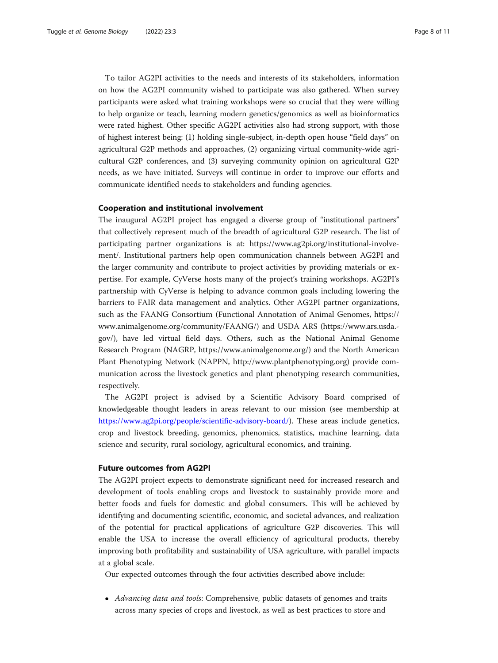To tailor AG2PI activities to the needs and interests of its stakeholders, information on how the AG2PI community wished to participate was also gathered. When survey participants were asked what training workshops were so crucial that they were willing to help organize or teach, learning modern genetics/genomics as well as bioinformatics were rated highest. Other specific AG2PI activities also had strong support, with those of highest interest being: (1) holding single-subject, in-depth open house "field days" on agricultural G2P methods and approaches, (2) organizing virtual community-wide agricultural G2P conferences, and (3) surveying community opinion on agricultural G2P needs, as we have initiated. Surveys will continue in order to improve our efforts and communicate identified needs to stakeholders and funding agencies.

#### Cooperation and institutional involvement

The inaugural AG2PI project has engaged a diverse group of "institutional partners" that collectively represent much of the breadth of agricultural G2P research. The list of participating partner organizations is at: https://www.ag2pi.org/institutional-involvement/. Institutional partners help open communication channels between AG2PI and the larger community and contribute to project activities by providing materials or expertise. For example, CyVerse hosts many of the project's training workshops. AG2PI's partnership with CyVerse is helping to advance common goals including lowering the barriers to FAIR data management and analytics. Other AG2PI partner organizations, such as the FAANG Consortium (Functional Annotation of Animal Genomes, https:// www.animalgenome.org/community/FAANG/) and USDA ARS (https://www.ars.usda. gov/), have led virtual field days. Others, such as the National Animal Genome Research Program (NAGRP, https://www.animalgenome.org/) and the North American Plant Phenotyping Network (NAPPN, http://www.plantphenotyping.org) provide communication across the livestock genetics and plant phenotyping research communities, respectively.

The AG2PI project is advised by a Scientific Advisory Board comprised of knowledgeable thought leaders in areas relevant to our mission (see membership at [https://www.ag2pi.org/people/scientific-advisory-board/\)](https://www.ag2pi.org/people/scientific-advisory-board/). These areas include genetics, crop and livestock breeding, genomics, phenomics, statistics, machine learning, data science and security, rural sociology, agricultural economics, and training.

#### Future outcomes from AG2PI

The AG2PI project expects to demonstrate significant need for increased research and development of tools enabling crops and livestock to sustainably provide more and better foods and fuels for domestic and global consumers. This will be achieved by identifying and documenting scientific, economic, and societal advances, and realization of the potential for practical applications of agriculture G2P discoveries. This will enable the USA to increase the overall efficiency of agricultural products, thereby improving both profitability and sustainability of USA agriculture, with parallel impacts at a global scale.

Our expected outcomes through the four activities described above include:

• Advancing data and tools: Comprehensive, public datasets of genomes and traits across many species of crops and livestock, as well as best practices to store and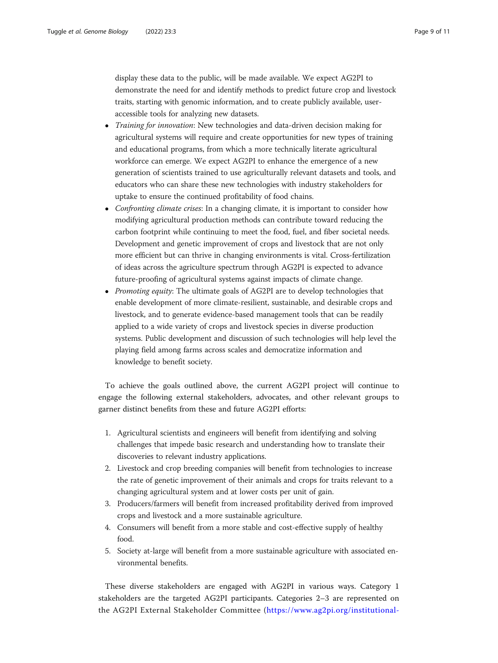display these data to the public, will be made available. We expect AG2PI to demonstrate the need for and identify methods to predict future crop and livestock traits, starting with genomic information, and to create publicly available, useraccessible tools for analyzing new datasets.

- *Training for innovation*: New technologies and data-driven decision making for agricultural systems will require and create opportunities for new types of training and educational programs, from which a more technically literate agricultural workforce can emerge. We expect AG2PI to enhance the emergence of a new generation of scientists trained to use agriculturally relevant datasets and tools, and educators who can share these new technologies with industry stakeholders for uptake to ensure the continued profitability of food chains.
- Confronting climate crises: In a changing climate, it is important to consider how modifying agricultural production methods can contribute toward reducing the carbon footprint while continuing to meet the food, fuel, and fiber societal needs. Development and genetic improvement of crops and livestock that are not only more efficient but can thrive in changing environments is vital. Cross-fertilization of ideas across the agriculture spectrum through AG2PI is expected to advance future-proofing of agricultural systems against impacts of climate change.
- Promoting equity: The ultimate goals of AG2PI are to develop technologies that enable development of more climate-resilient, sustainable, and desirable crops and livestock, and to generate evidence-based management tools that can be readily applied to a wide variety of crops and livestock species in diverse production systems. Public development and discussion of such technologies will help level the playing field among farms across scales and democratize information and knowledge to benefit society.

To achieve the goals outlined above, the current AG2PI project will continue to engage the following external stakeholders, advocates, and other relevant groups to garner distinct benefits from these and future AG2PI efforts:

- 1. Agricultural scientists and engineers will benefit from identifying and solving challenges that impede basic research and understanding how to translate their discoveries to relevant industry applications.
- 2. Livestock and crop breeding companies will benefit from technologies to increase the rate of genetic improvement of their animals and crops for traits relevant to a changing agricultural system and at lower costs per unit of gain.
- 3. Producers/farmers will benefit from increased profitability derived from improved crops and livestock and a more sustainable agriculture.
- 4. Consumers will benefit from a more stable and cost-effective supply of healthy food.
- 5. Society at-large will benefit from a more sustainable agriculture with associated environmental benefits.

These diverse stakeholders are engaged with AG2PI in various ways. Category 1 stakeholders are the targeted AG2PI participants. Categories 2–3 are represented on the AG2PI External Stakeholder Committee ([https://www.ag2pi.org/institutional-](https://www.ag2pi.org/institutional-involvement/)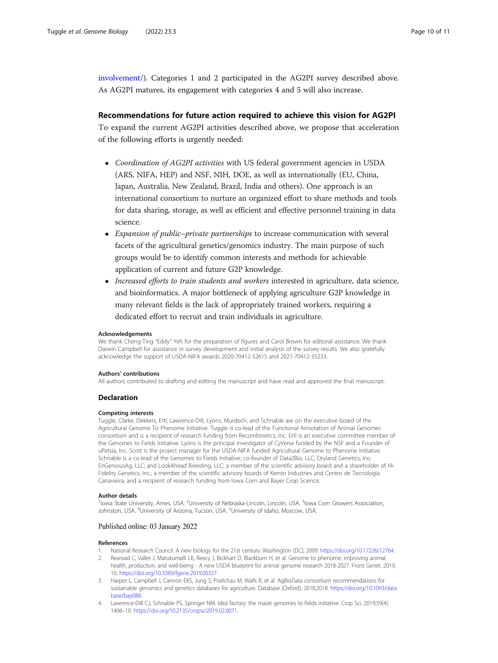<span id="page-9-0"></span>[involvement/](https://www.ag2pi.org/institutional-involvement/)). Categories 1 and 2 participated in the AG2PI survey described above. As AG2PI matures, its engagement with categories 4 and 5 will also increase.

### Recommendations for future action required to achieve this vision for AG2PI

To expand the current AG2PI activities described above, we propose that acceleration of the following efforts is urgently needed:

- Coordination of AG2PI activities with US federal government agencies in USDA (ARS, NIFA, HEP) and NSF, NIH, DOE, as well as internationally (EU, China, Japan, Australia, New Zealand, Brazil, India and others). One approach is an international consortium to nurture an organized effort to share methods and tools for data sharing, storage, as well as efficient and effective personnel training in data science.
- Expansion of public–private partnerships to increase communication with several facets of the agricultural genetics/genomics industry. The main purpose of such groups would be to identify common interests and methods for achievable application of current and future G2P knowledge.
- Increased efforts to train students and workers interested in agriculture, data science, and bioinformatics. A major bottleneck of applying agriculture G2P knowledge in many relevant fields is the lack of appropriately trained workers, requiring a dedicated effort to recruit and train individuals in agriculture.

#### Acknowledgements

We thank Cheng-Ting "Eddy" Yeh for the preparation of figures and Carol Brown for editorial assistance. We thank Darwin Campbell for assistance in survey development and initial analysis of the survey results. We also gratefully acknowledge the support of USDA-NIFA awards 2020-70412-32615 and 2021-70412-35233.

#### Authors' contributions

All authors contributed to drafting and editing the manuscript and have read and approved the final manuscript.

#### Declaration

#### Competing interests

Tuggle, Clarke, Dekkers, Ertl, Lawrence-Dill, Lyons, Murdoch, and Schnable are on the executive board of the Agricultural Genome To Phenome Initiative. Tuggle is co-lead of the Functional Annotation of Animal Genomes consortium and is a recipient of research funding from Recombinetics, Inc. Ertl is an executive committee member of the Genomes to Fields Initiative. Lyons is the principal investigator of CyVerse funded by the NSF and a Founder of uPetsia, Inc. Scott is the project manager for the USDA-NIFA funded Agricultural Genome to Phenome Initiative. Schnable is a co-lead of the Genomes to Fields Initiative; co-founder of Data2Bio, LLC; Dryland Genetics, Inc; EnGeniousAg, LLC; and LookAhead Breeding, LLC; a member of the scientific advisory board and a shareholder of Hi-Fidelity Genetics, Inc.; a member of the scientific advisory boards of Kemin Industries and Centro de Tecnologia Canavieira; and a recipient of research funding from Iowa Corn and Bayer Crop Science.

#### Author details

<sup>1</sup>lowa State University, Ames, USA. <sup>2</sup>University of Nebraska-Lincoln, Lincoln, USA. <sup>3</sup>lowa Corn Growers Association, Johnston, USA. <sup>4</sup>University of Arizona, Tucson, USA. <sup>5</sup>University of Idaho, Moscow, USA.

#### Published online: 03 January 2022

#### References

- 1. National Research Council. A new biology for the 21st century. Washington (DC); 2009. [https://doi.org/10.17226/12764.](https://doi.org/10.17226/12764)
- 2. Rexroad C, Vallet J, Matukumalli LK, Reecy J, Bickhart D, Blackburn H, et al. Genome to phenome: improving animal health, production, and well-being - A new USDA blueprint for animal genome research 2018-2027. Front Genet. 2019;
- 10. <https://doi.org/10.3389/fgene.2019.00327>. 3. Harper L, Campbell J, Cannon EKS, Jung S, Poelchau M, Walls R, et al. AgBioData consortium recommendations for sustainable genomics and genetics databases for agriculture. Database (Oxford). 2018;2018. [https://doi.org/10.1093/data](https://doi.org/10.1093/database/bay088) [base/bay088.](https://doi.org/10.1093/database/bay088)
- 4. Lawrence-Dill CJ, Schnable PS, Springer NM. Idea factory: the maize genomes to fields initiative. Crop Sci. 2019;59(4): 1406–10. [https://doi.org/10.2135/cropsci2019.02.0071.](https://doi.org/10.2135/cropsci2019.02.0071)